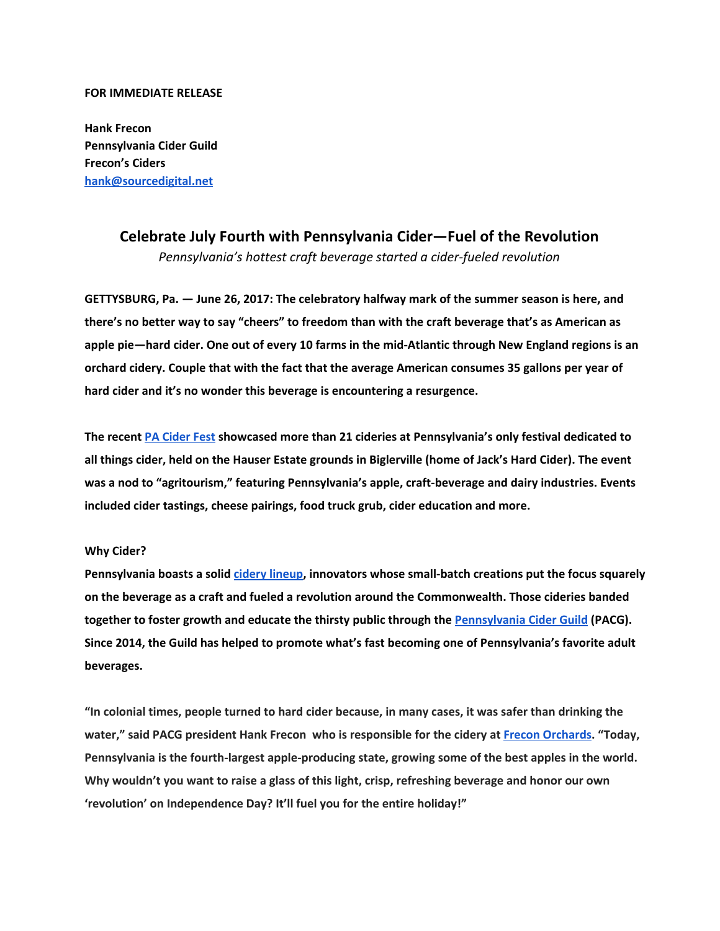## **FOR IMMEDIATE RELEASE**

**Hank Frecon Pennsylvania Cider Guild Frecon's Ciders [hank@sourcedigital.net](mailto:hank@sourcedigital.net)**

## **Celebrate July Fourth with Pennsylvania Cider—Fuel of the Revolution** *Pennsylvania's hottest craft beverage started a cider-fueled revolution*

**GETTYSBURG, Pa. — June 26, 2017: The celebratory halfway mark of the summer season is here, and** there's no better way to say "cheers" to freedom than with the craft beverage that's as American as apple pie-hard cider. One out of every 10 farms in the mid-Atlantic through New England regions is an **orchard cidery. Couple that with the fact that the average American consumes 35 gallons per year of hard cider and it's no wonder this beverage is encountering a resurgence.**

**The recent PA [Cider](http://www.paciderfest.com/) Fest showcased more than 21 cideries at Pennsylvania's only festival dedicated to** all things cider, held on the Hauser Estate grounds in Biglerville (home of Jack's Hard Cider). The event **was a nod to "agritourism," featuring Pennsylvania's apple, craft-beverage and dairy industries. Events included cider tastings, cheese pairings, food truck grub, cider education and more.**

## **Why Cider?**

**Pennsylvania boasts a solid cidery [lineup,](http://paciderguild.org/cideries.html) innovators whose small-batch creations put the focus squarely on the beverage as a craft and fueled a revolution around the Commonwealth. Those cideries banded together to foster growth and educate the thirsty public through the [Pennsylvania](http://paciderguild.org/mission.html) Cider Guild (PACG). Since 2014, the Guild has helped to promote what's fast becoming one of Pennsylvania's favorite adult beverages.**

"In colonial times, people turned to hard cider because, in many cases, it was safer than drinking the **water," said PACG president Hank Frecon who is responsible for the cidery at Frecon [Orchards.](https://freconfarms.com/cider/our-ciders/) "Today, Pennsylvania is the fourth-largest apple-producing state, growing some of the best apples in the world. Why wouldn't you want to raise a glass of this light, crisp, refreshing beverage and honor our own 'revolution' on Independence Day? It'll fuel you for the entire holiday!"**